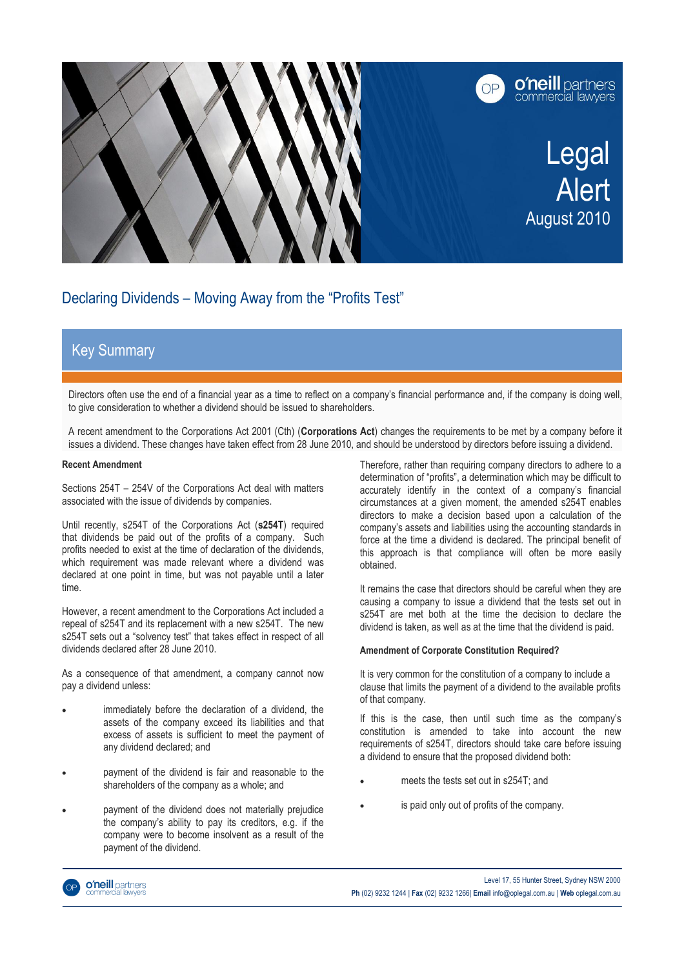

# Declaring Dividends – Moving Away from the "Profits Test"

## Key Summary

Directors often use the end of a financial year as a time to reflect on a company's financial performance and, if the company is doing well, to give consideration to whether a dividend should be issued to shareholders.

A recent amendment to the Corporations Act 2001 (Cth) (**Corporations Act**) changes the requirements to be met by a company before it issues a dividend. These changes have taken effect from 28 June 2010, and should be understood by directors before issuing a dividend.

### **Recent Amendment**

Sections 254T – 254V of the Corporations Act deal with matters associated with the issue of dividends by companies.

Until recently, s254T of the Corporations Act (**s254T**) required that dividends be paid out of the profits of a company. Such profits needed to exist at the time of declaration of the dividends, which requirement was made relevant where a dividend was declared at one point in time, but was not payable until a later time.

However, a recent amendment to the Corporations Act included a repeal of s254T and its replacement with a new s254T. The new s254T sets out a "solvency test" that takes effect in respect of all dividends declared after 28 June 2010.

As a consequence of that amendment, a company cannot now pay a dividend unless:

- immediately before the declaration of a dividend, the assets of the company exceed its liabilities and that excess of assets is sufficient to meet the payment of any dividend declared; and
- payment of the dividend is fair and reasonable to the shareholders of the company as a whole; and
- payment of the dividend does not materially prejudice the company's ability to pay its creditors, e.g. if the company were to become insolvent as a result of the payment of the dividend.

Therefore, rather than requiring company directors to adhere to a determination of "profits", a determination which may be difficult to accurately identify in the context of a company's financial circumstances at a given moment, the amended s254T enables directors to make a decision based upon a calculation of the company's assets and liabilities using the accounting standards in force at the time a dividend is declared. The principal benefit of this approach is that compliance will often be more easily obtained.

It remains the case that directors should be careful when they are causing a company to issue a dividend that the tests set out in s254T are met both at the time the decision to declare the dividend is taken, as well as at the time that the dividend is paid.

### **Amendment of Corporate Constitution Required?**

It is very common for the constitution of a company to include a clause that limits the payment of a dividend to the available profits of that company.

If this is the case, then until such time as the company's constitution is amended to take into account the new requirements of s254T, directors should take care before issuing a dividend to ensure that the proposed dividend both:

- meets the tests set out in s254T; and
- is paid only out of profits of the company.